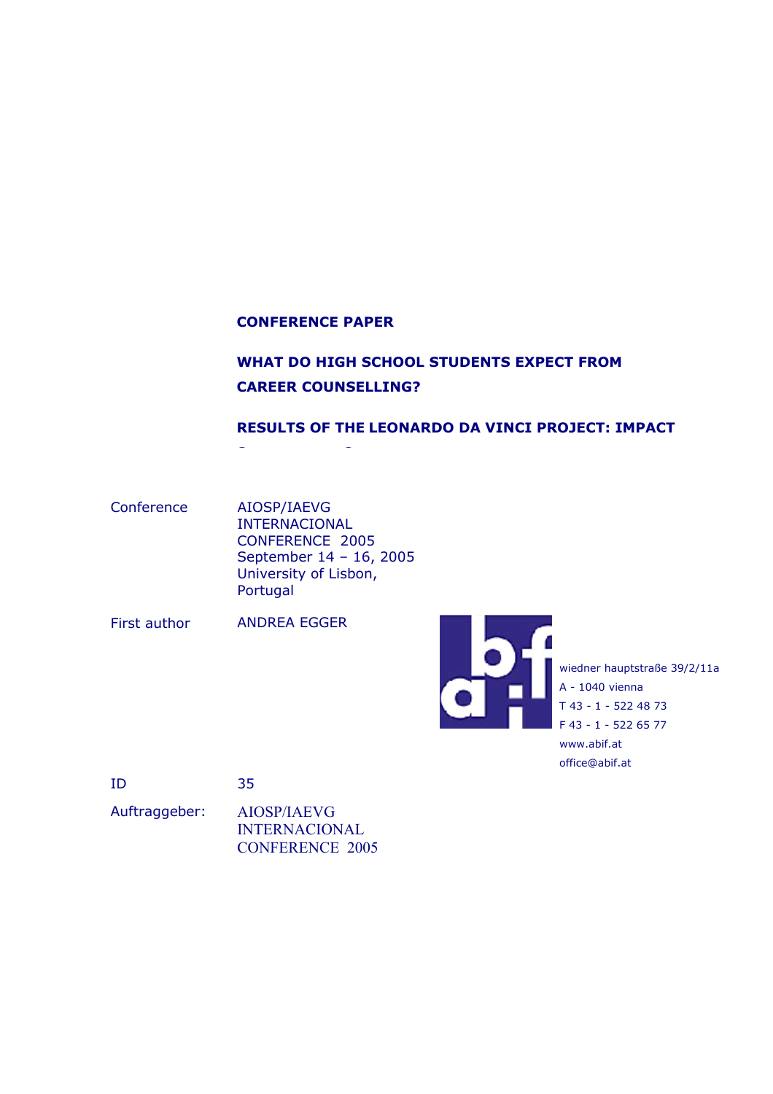#### **CONFERENCE PAPER**

**S C**

# **WHAT DO HIGH SCHOOL STUDENTS EXPECT FROM CAREER COUNSELLING?**

#### **RESULTS OF THE LEONARDO DA VINCI PROJECT: IMPACT**

Conference AIOSP/IAEVG INTERNACIONAL CONFERENCE 2005 September 14 – 16, 2005 University of Lisbon, Portugal

First author ANDREA EGGER



wiedner hauptstraße 39/2/11a A - 1040 vienna T 43 - 1 - 522 48 73 F 43 - 1 - 522 65 77 www.abif.at office@abif.at

ID 35

Auftraggeber: AIOSP/IAEVG INTERNACIONAL CONFERENCE 2005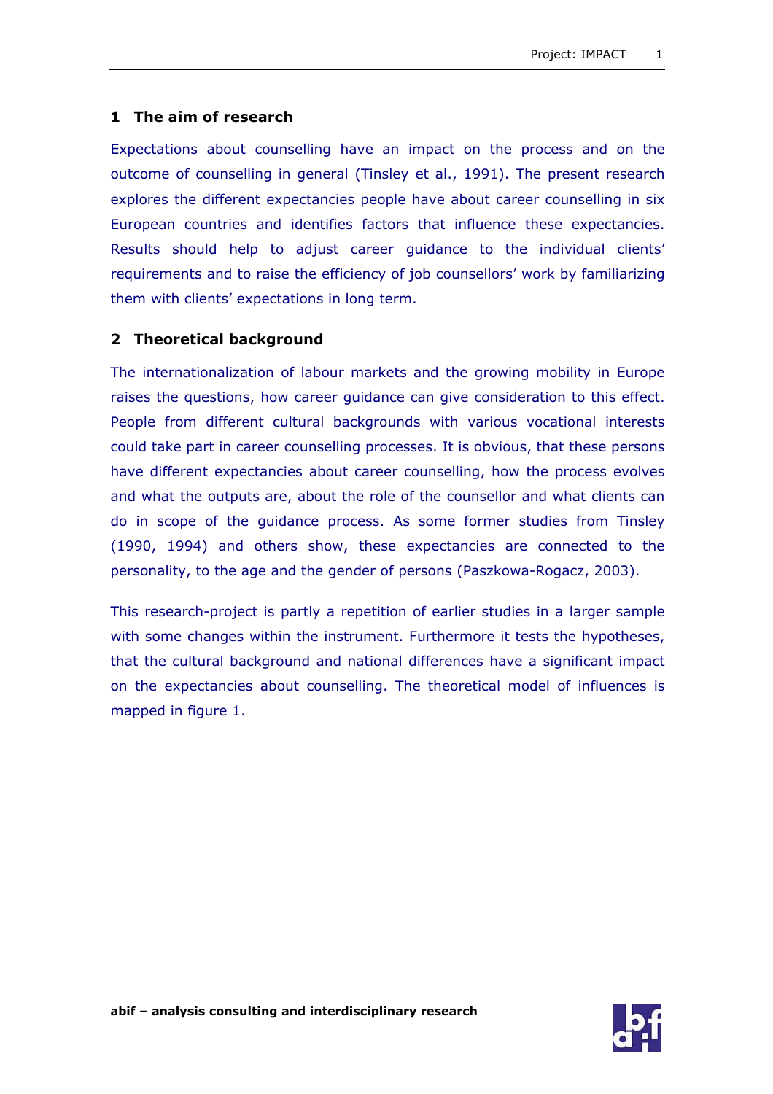### **1 The aim of research**

Expectations about counselling have an impact on the process and on the outcome of counselling in general (Tinsley et al., 1991). The present research explores the different expectancies people have about career counselling in six European countries and identifies factors that influence these expectancies. Results should help to adjust career guidance to the individual clients' requirements and to raise the efficiency of job counsellors' work by familiarizing them with clients' expectations in long term.

#### **2 Theoretical background**

The internationalization of labour markets and the growing mobility in Europe raises the questions, how career guidance can give consideration to this effect. People from different cultural backgrounds with various vocational interests could take part in career counselling processes. It is obvious, that these persons have different expectancies about career counselling, how the process evolves and what the outputs are, about the role of the counsellor and what clients can do in scope of the guidance process. As some former studies from Tinsley (1990, 1994) and others show, these expectancies are connected to the personality, to the age and the gender of persons (Paszkowa-Rogacz, 2003).

This research-project is partly a repetition of earlier studies in a larger sample with some changes within the instrument. Furthermore it tests the hypotheses, that the cultural background and national differences have a significant impact on the expectancies about counselling. The theoretical model of influences is mapped in figure 1.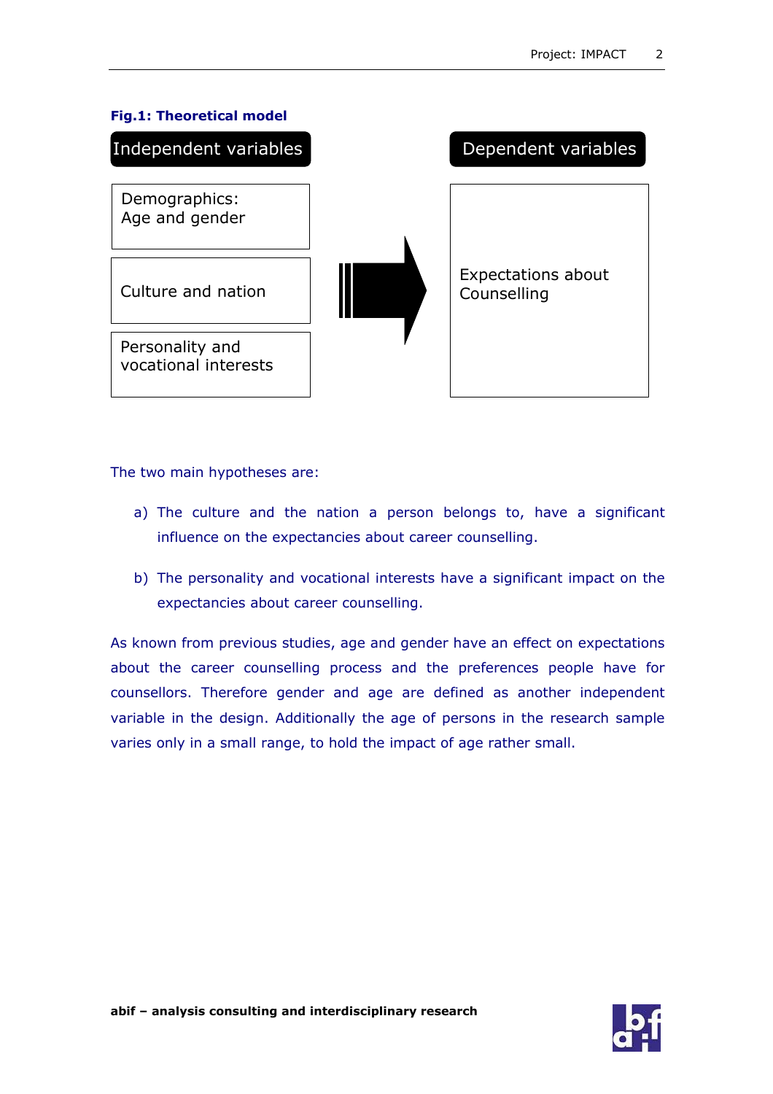

The two main hypotheses are:

- a) The culture and the nation a person belongs to, have a significant influence on the expectancies about career counselling.
- b) The personality and vocational interests have a significant impact on the expectancies about career counselling.

As known from previous studies, age and gender have an effect on expectations about the career counselling process and the preferences people have for counsellors. Therefore gender and age are defined as another independent variable in the design. Additionally the age of persons in the research sample varies only in a small range, to hold the impact of age rather small.



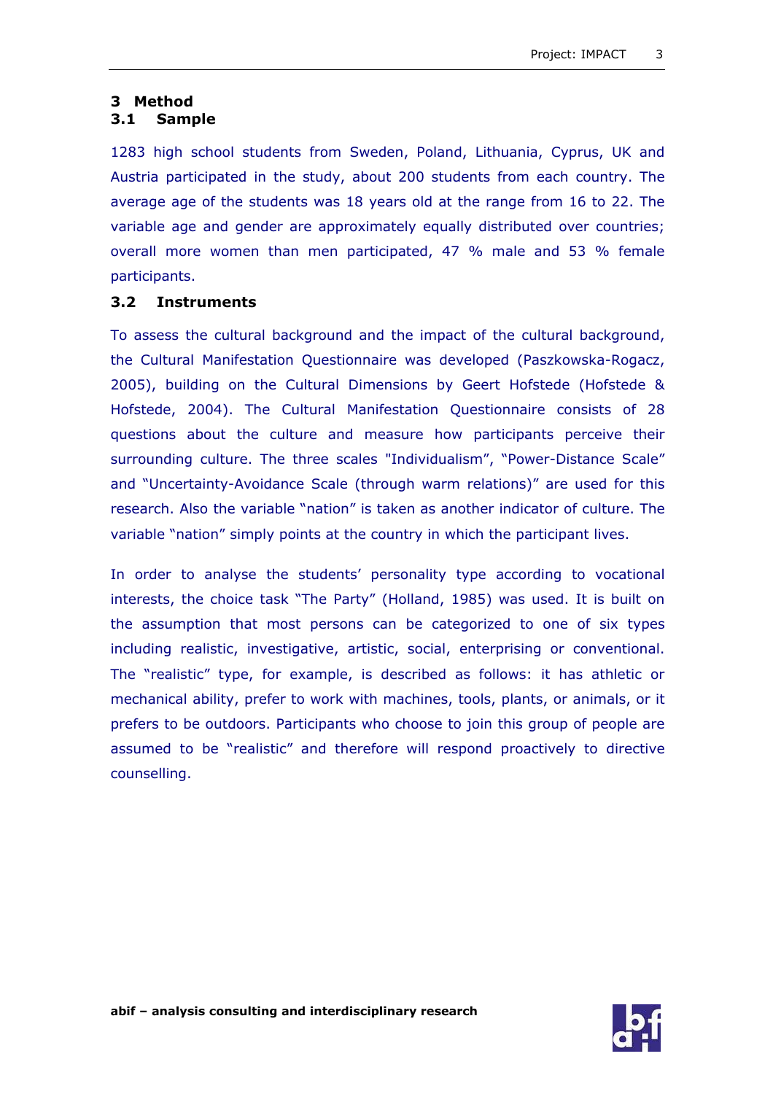## **3 Method**

## **3.1 Sample**

1283 high school students from Sweden, Poland, Lithuania, Cyprus, UK and Austria participated in the study, about 200 students from each country. The average age of the students was 18 years old at the range from 16 to 22. The variable age and gender are approximately equally distributed over countries; overall more women than men participated, 47 % male and 53 % female participants.

#### **3.2 Instruments**

To assess the cultural background and the impact of the cultural background, the Cultural Manifestation Questionnaire was developed (Paszkowska-Rogacz, 2005), building on the Cultural Dimensions by Geert Hofstede (Hofstede & Hofstede, 2004). The Cultural Manifestation Questionnaire consists of 28 questions about the culture and measure how participants perceive their surrounding culture. The three scales "Individualism", "Power-Distance Scale" and "Uncertainty-Avoidance Scale (through warm relations)" are used for this research. Also the variable "nation" is taken as another indicator of culture. The variable "nation" simply points at the country in which the participant lives.

In order to analyse the students' personality type according to vocational interests, the choice task "The Party" (Holland, 1985) was used. It is built on the assumption that most persons can be categorized to one of six types including realistic, investigative, artistic, social, enterprising or conventional. The "realistic" type, for example, is described as follows: it has athletic or mechanical ability, prefer to work with machines, tools, plants, or animals, or it prefers to be outdoors. Participants who choose to join this group of people are assumed to be "realistic" and therefore will respond proactively to directive counselling.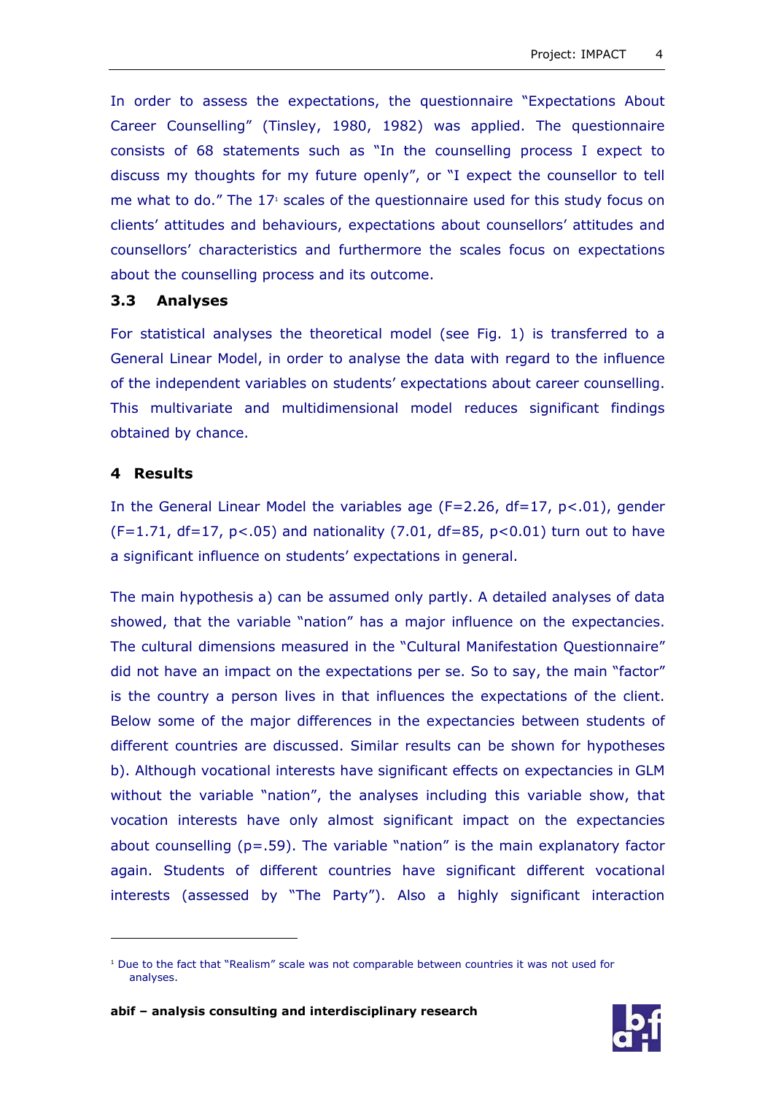In order to assess the expectations, the questionnaire "Expectations About Career Counselling" (Tinsley, 1980, 1982) was applied. The questionnaire consists of 68 statements such as "In the counselling process I expect to discuss my thoughts for my future openly", or "I expect the counsellor to tell me what to do." The  $17<sup>1</sup>$  scales of the questionnaire used for this study focus on clients' attitudes and behaviours, expectations about counsellors' attitudes and counsellors' characteristics and furthermore the scales focus on expectations about the counselling process and its outcome.

#### **3.3 Analyses**

For statistical analyses the theoretical model (see Fig. 1) is transferred to a General Linear Model, in order to analyse the data with regard to the influence of the independent variables on students' expectations about career counselling. This multivariate and multidimensional model reduces significant findings obtained by chance.

#### **4 Results**

 $\overline{a}$ 

In the General Linear Model the variables age ( $F=2.26$ ,  $df=17$ ,  $p<.01$ ), gender (F=1.71, df=17,  $p$ <.05) and nationality (7.01, df=85,  $p$ <0.01) turn out to have a significant influence on students' expectations in general.

The main hypothesis a) can be assumed only partly. A detailed analyses of data showed, that the variable "nation" has a major influence on the expectancies. The cultural dimensions measured in the "Cultural Manifestation Questionnaire" did not have an impact on the expectations per se. So to say, the main "factor" is the country a person lives in that influences the expectations of the client. Below some of the major differences in the expectancies between students of different countries are discussed. Similar results can be shown for hypotheses b). Although vocational interests have significant effects on expectancies in GLM without the variable "nation", the analyses including this variable show, that vocation interests have only almost significant impact on the expectancies about counselling (p=.59). The variable "nation" is the main explanatory factor again. Students of different countries have significant different vocational interests (assessed by "The Party"). Also a highly significant interaction



<sup>&</sup>lt;sup>1</sup> Due to the fact that "Realism" scale was not comparable between countries it was not used for analyses.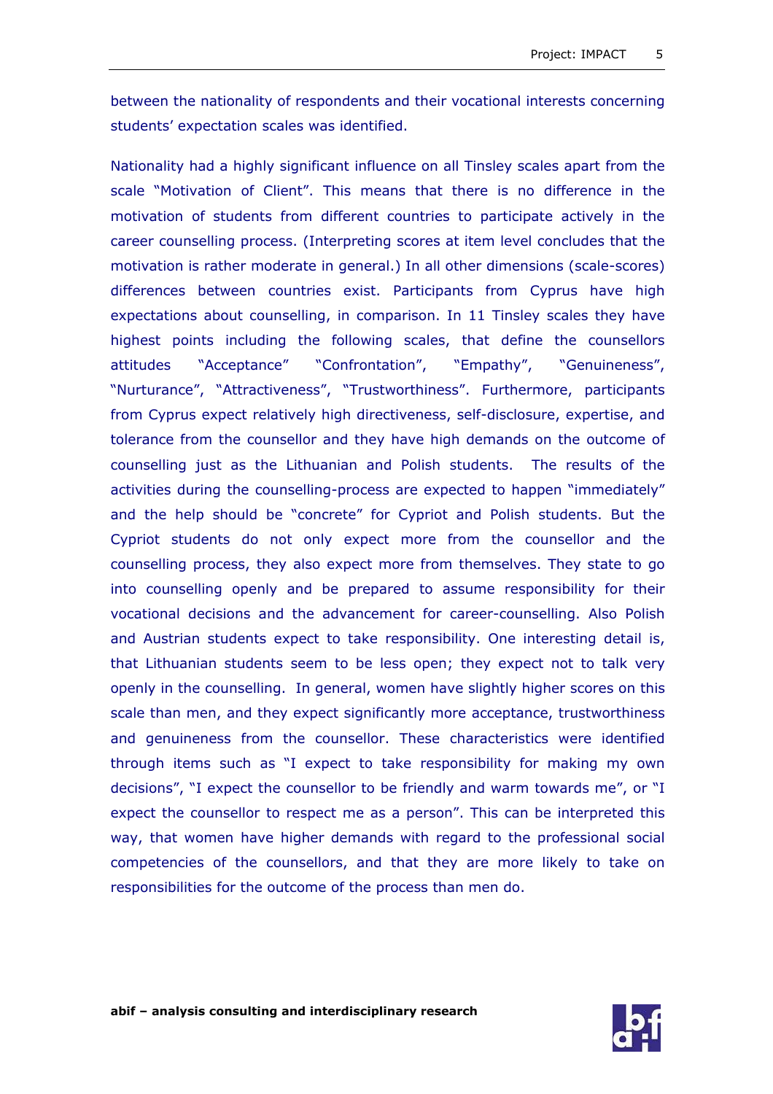between the nationality of respondents and their vocational interests concerning students' expectation scales was identified.

Nationality had a highly significant influence on all Tinsley scales apart from the scale "Motivation of Client". This means that there is no difference in the motivation of students from different countries to participate actively in the career counselling process. (Interpreting scores at item level concludes that the motivation is rather moderate in general.) In all other dimensions (scale-scores) differences between countries exist. Participants from Cyprus have high expectations about counselling, in comparison. In 11 Tinsley scales they have highest points including the following scales, that define the counsellors attitudes "Acceptance" "Confrontation", "Empathy", "Genuineness", "Nurturance", "Attractiveness", "Trustworthiness". Furthermore, participants from Cyprus expect relatively high directiveness, self-disclosure, expertise, and tolerance from the counsellor and they have high demands on the outcome of counselling just as the Lithuanian and Polish students. The results of the activities during the counselling-process are expected to happen "immediately" and the help should be "concrete" for Cypriot and Polish students. But the Cypriot students do not only expect more from the counsellor and the counselling process, they also expect more from themselves. They state to go into counselling openly and be prepared to assume responsibility for their vocational decisions and the advancement for career-counselling. Also Polish and Austrian students expect to take responsibility. One interesting detail is, that Lithuanian students seem to be less open; they expect not to talk very openly in the counselling. In general, women have slightly higher scores on this scale than men, and they expect significantly more acceptance, trustworthiness and genuineness from the counsellor. These characteristics were identified through items such as "I expect to take responsibility for making my own decisions", "I expect the counsellor to be friendly and warm towards me", or "I expect the counsellor to respect me as a person". This can be interpreted this way, that women have higher demands with regard to the professional social competencies of the counsellors, and that they are more likely to take on responsibilities for the outcome of the process than men do.

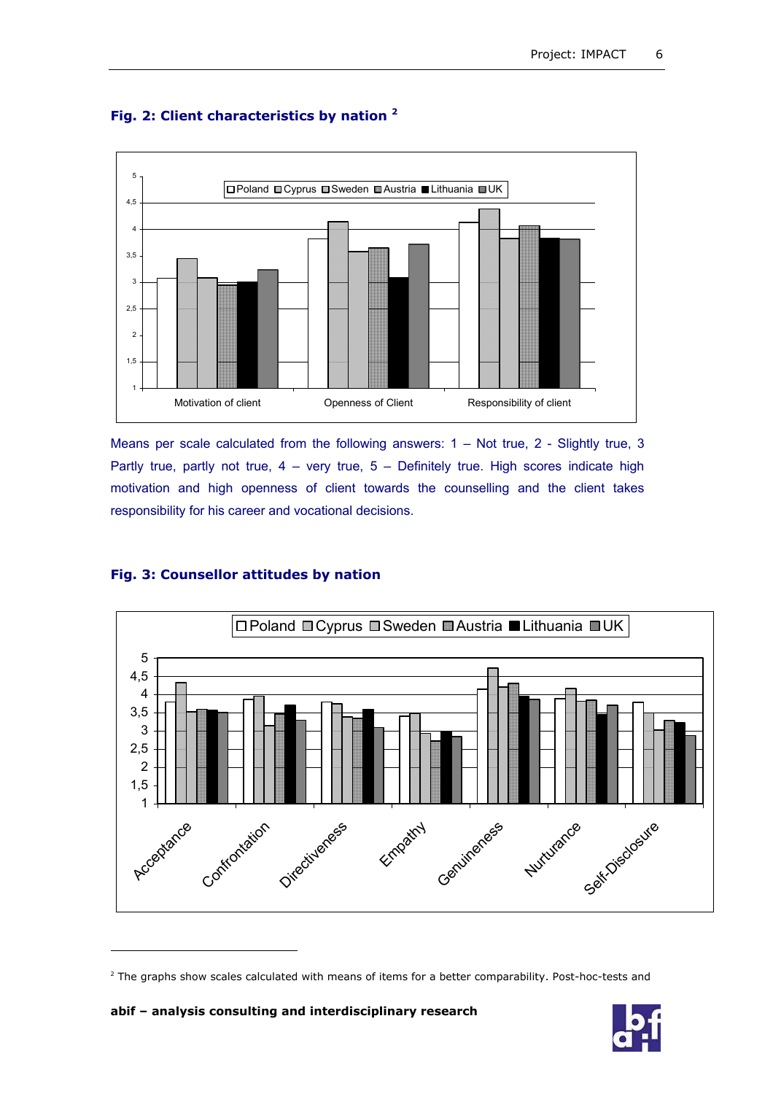

## **Fig. 2: Client characteristics by nation 2**

Means per scale calculated from the following answers: 1 – Not true, 2 - Slightly true, 3 Partly true, partly not true,  $4 -$  very true,  $5 -$  Definitely true. High scores indicate high motivation and high openness of client towards the counselling and the client takes responsibility for his career and vocational decisions.

#### **Fig. 3: Counsellor attitudes by nation**



<sup>&</sup>lt;sup>2</sup> The graphs show scales calculated with means of items for a better comparability. Post-hoc-tests and

**abif – analysis consulting and interdisciplinary research**

 $\overline{a}$ 

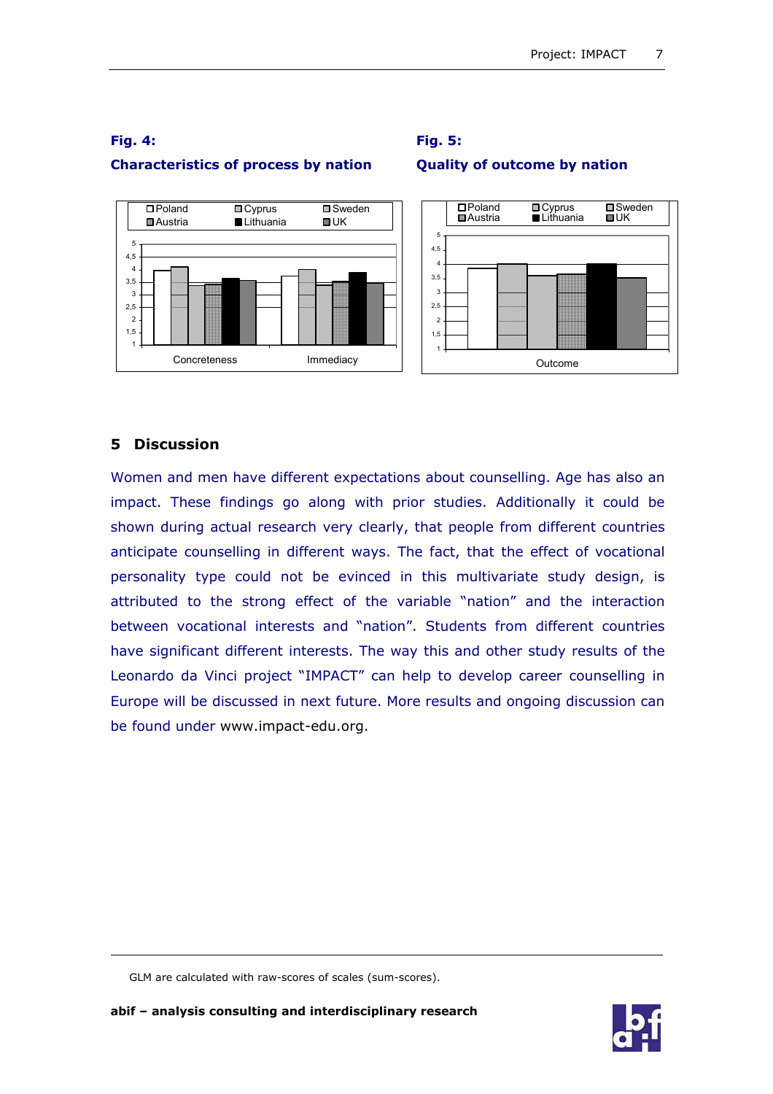

**Fig. 5:** 

**Quality of outcome by nation** 

# **Fig. 4: Characteristics of process by nation**

## **5 Discussion**

-

Women and men have different expectations about counselling. Age has also an impact. These findings go along with prior studies. Additionally it could be shown during actual research very clearly, that people from different countries anticipate counselling in different ways. The fact, that the effect of vocational personality type could not be evinced in this multivariate study design, is attributed to the strong effect of the variable "nation" and the interaction between vocational interests and "nation". Students from different countries have significant different interests. The way this and other study results of the Leonardo da Vinci project "IMPACT" can help to develop career counselling in Europe will be discussed in next future. More results and ongoing discussion can be found under www.impact-edu.org.



GLM are calculated with raw-scores of scales (sum-scores).